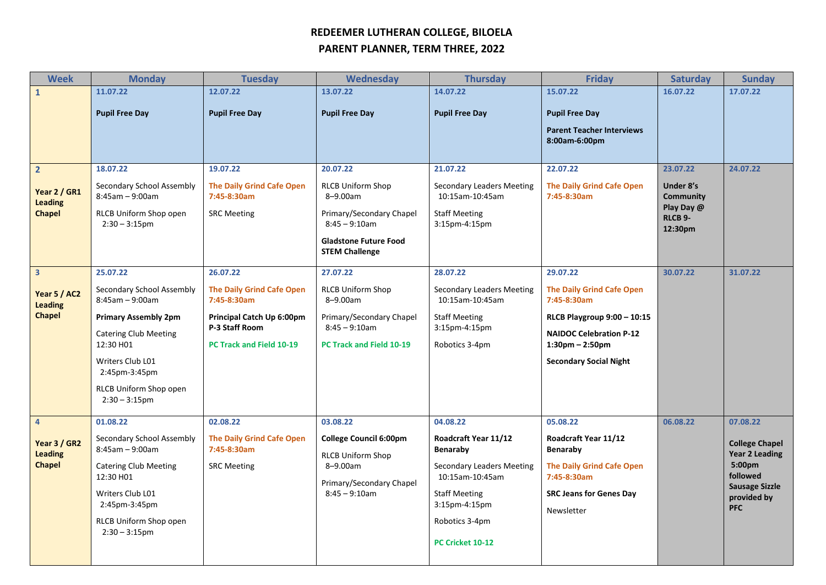## **REDEEMER LUTHERAN COLLEGE, BILOELA PARENT PLANNER, TERM THREE, 2022**

| <b>Week</b>                                     | <b>Monday</b>                                  | <b>Tuesday</b>                                  | Wednesday                                                 | <b>Thursday</b>                                     | <b>Friday</b>                                   | <b>Saturday</b>                                                        | <b>Sunday</b>                                                 |
|-------------------------------------------------|------------------------------------------------|-------------------------------------------------|-----------------------------------------------------------|-----------------------------------------------------|-------------------------------------------------|------------------------------------------------------------------------|---------------------------------------------------------------|
| $\mathbf{1}$                                    | 11.07.22                                       | 12.07.22                                        | 13.07.22                                                  | 14.07.22                                            | 15.07.22                                        | 16.07.22                                                               | 17.07.22                                                      |
|                                                 | <b>Pupil Free Day</b>                          | <b>Pupil Free Day</b>                           | <b>Pupil Free Day</b>                                     | <b>Pupil Free Day</b>                               | <b>Pupil Free Day</b>                           |                                                                        |                                                               |
|                                                 |                                                |                                                 |                                                           |                                                     | <b>Parent Teacher Interviews</b>                |                                                                        |                                                               |
|                                                 |                                                |                                                 |                                                           |                                                     | 8:00am-6:00pm                                   |                                                                        |                                                               |
| $\overline{2}$                                  | 18.07.22                                       | 19.07.22                                        | 20.07.22                                                  | 21.07.22                                            | 22.07.22                                        | 23.07.22                                                               | 24.07.22                                                      |
| Year 2 / GR1<br><b>Leading</b><br><b>Chapel</b> | Secondary School Assembly<br>$8:45am - 9:00am$ | <b>The Daily Grind Cafe Open</b><br>7:45-8:30am | <b>RLCB Uniform Shop</b><br>8-9.00am                      | <b>Secondary Leaders Meeting</b><br>10:15am-10:45am | <b>The Daily Grind Cafe Open</b><br>7:45-8:30am | Under 8's<br>Community<br>Play Day @<br>RLCB <sub>9</sub> -<br>12:30pm |                                                               |
|                                                 | RLCB Uniform Shop open<br>$2:30 - 3:15$ pm     | <b>SRC Meeting</b>                              | Primary/Secondary Chapel<br>$8:45 - 9:10am$               | <b>Staff Meeting</b><br>3:15pm-4:15pm               |                                                 |                                                                        |                                                               |
|                                                 |                                                |                                                 | <b>Gladstone Future Food</b><br><b>STEM Challenge</b>     |                                                     |                                                 |                                                                        |                                                               |
| $\overline{\mathbf{3}}$                         | 25.07.22                                       | 26.07.22                                        | 27.07.22                                                  | 28.07.22                                            | 29.07.22                                        | 30.07.22                                                               | 31.07.22                                                      |
| Year 5 / AC2<br><b>Leading</b><br><b>Chapel</b> | Secondary School Assembly<br>$8:45am - 9:00am$ | <b>The Daily Grind Cafe Open</b><br>7:45-8:30am | <b>RLCB Uniform Shop</b><br>8-9.00am                      | Secondary Leaders Meeting<br>10:15am-10:45am        | <b>The Daily Grind Cafe Open</b><br>7:45-8:30am |                                                                        |                                                               |
|                                                 | <b>Primary Assembly 2pm</b>                    | Principal Catch Up 6:00pm<br>P-3 Staff Room     | Primary/Secondary Chapel<br>$8:45 - 9:10$ am              | <b>Staff Meeting</b><br>3:15pm-4:15pm               | RLCB Playgroup 9:00 - 10:15                     |                                                                        |                                                               |
|                                                 | <b>Catering Club Meeting</b>                   |                                                 |                                                           |                                                     | <b>NAIDOC Celebration P-12</b>                  |                                                                        |                                                               |
|                                                 | 12:30 H01                                      | <b>PC Track and Field 10-19</b>                 | <b>PC Track and Field 10-19</b>                           | Robotics 3-4pm                                      | $1:30 \text{pm} - 2:50 \text{pm}$               |                                                                        |                                                               |
|                                                 | Writers Club L01<br>2:45pm-3:45pm              |                                                 |                                                           |                                                     | <b>Secondary Social Night</b>                   |                                                                        |                                                               |
|                                                 | RLCB Uniform Shop open<br>$2:30 - 3:15$ pm     |                                                 |                                                           |                                                     |                                                 |                                                                        |                                                               |
| $\overline{4}$                                  | 01.08.22                                       | 02.08.22                                        | 03.08.22                                                  | 04.08.22                                            | 05.08.22                                        | 06.08.22                                                               | 07.08.22                                                      |
| Year 3 / GR2<br><b>Leading</b><br><b>Chapel</b> | Secondary School Assembly<br>$8:45am - 9:00am$ | <b>The Daily Grind Cafe Open</b><br>7:45-8:30am | <b>College Council 6:00pm</b><br><b>RLCB Uniform Shop</b> | Roadcraft Year 11/12<br>Benaraby                    | Roadcraft Year 11/12<br>Benaraby                |                                                                        | <b>College Chapel</b><br>Year 2 Leading<br>5:00pm<br>followed |
|                                                 | <b>Catering Club Meeting</b><br>12:30 H01      | <b>SRC Meeting</b>                              | 8-9.00am<br>Primary/Secondary Chapel                      | <b>Secondary Leaders Meeting</b><br>10:15am-10:45am | <b>The Daily Grind Cafe Open</b><br>7:45-8:30am |                                                                        |                                                               |
|                                                 | Writers Club L01                               |                                                 | $8:45 - 9:10$ am                                          | <b>Staff Meeting</b>                                | <b>SRC Jeans for Genes Day</b>                  |                                                                        | <b>Sausage Sizzle</b><br>provided by                          |
|                                                 | 2:45pm-3:45pm                                  |                                                 |                                                           | 3:15pm-4:15pm                                       | Newsletter                                      |                                                                        | <b>PFC</b>                                                    |
|                                                 | RLCB Uniform Shop open<br>$2:30 - 3:15$ pm     |                                                 |                                                           | Robotics 3-4pm                                      |                                                 |                                                                        |                                                               |
|                                                 |                                                |                                                 |                                                           | PC Cricket 10-12                                    |                                                 |                                                                        |                                                               |
|                                                 |                                                |                                                 |                                                           |                                                     |                                                 |                                                                        |                                                               |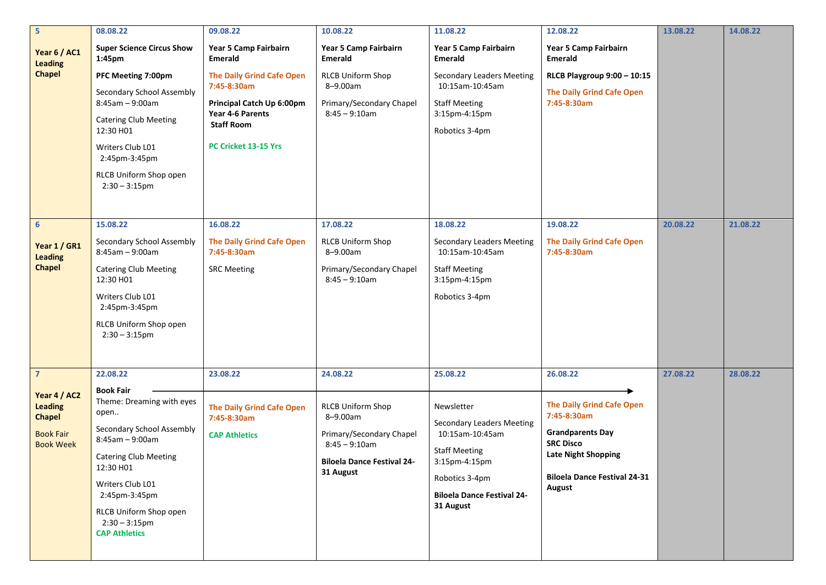| $5\overline{5}$                                                                                           | 08.08.22                                                                                                                                                                                                                                                                    | 09.08.22                                                                                                                     | 10.08.22                                                                                                                                           | 11.08.22                                                                                                                                                                                   | 12.08.22                                                                                                                                                                                  | 13.08.22 | 14.08.22 |
|-----------------------------------------------------------------------------------------------------------|-----------------------------------------------------------------------------------------------------------------------------------------------------------------------------------------------------------------------------------------------------------------------------|------------------------------------------------------------------------------------------------------------------------------|----------------------------------------------------------------------------------------------------------------------------------------------------|--------------------------------------------------------------------------------------------------------------------------------------------------------------------------------------------|-------------------------------------------------------------------------------------------------------------------------------------------------------------------------------------------|----------|----------|
| Year 6 / AC1<br><b>Leading</b>                                                                            | <b>Super Science Circus Show</b><br>1:45pm                                                                                                                                                                                                                                  | Year 5 Camp Fairbairn<br>Emerald                                                                                             | Year 5 Camp Fairbairn<br><b>Emerald</b>                                                                                                            | Year 5 Camp Fairbairn<br><b>Emerald</b>                                                                                                                                                    | Year 5 Camp Fairbairn<br><b>Emerald</b>                                                                                                                                                   |          |          |
| <b>Chapel</b>                                                                                             | PFC Meeting 7:00pm<br>Secondary School Assembly<br>$8:45am - 9:00am$<br><b>Catering Club Meeting</b><br>12:30 H01                                                                                                                                                           | <b>The Daily Grind Cafe Open</b><br>7:45-8:30am<br><b>Principal Catch Up 6:00pm</b><br>Year 4-6 Parents<br><b>Staff Room</b> | <b>RLCB Uniform Shop</b><br>8-9.00am<br>Primary/Secondary Chapel<br>$8:45 - 9:10$ am                                                               | <b>Secondary Leaders Meeting</b><br>10:15am-10:45am<br><b>Staff Meeting</b><br>3:15pm-4:15pm<br>Robotics 3-4pm                                                                             | RLCB Playgroup 9:00 - 10:15<br><b>The Daily Grind Cafe Open</b><br>7:45-8:30am                                                                                                            |          |          |
|                                                                                                           | Writers Club L01<br>2:45pm-3:45pm<br>RLCB Uniform Shop open<br>$2:30 - 3:15$ pm                                                                                                                                                                                             | PC Cricket 13-15 Yrs                                                                                                         |                                                                                                                                                    |                                                                                                                                                                                            |                                                                                                                                                                                           |          |          |
| $6\overline{6}$<br>Year 1 / GR1<br><b>Leading</b><br><b>Chapel</b>                                        | 15.08.22<br>Secondary School Assembly<br>$8:45am - 9:00am$<br><b>Catering Club Meeting</b><br>12:30 H01<br>Writers Club L01<br>2:45pm-3:45pm<br>RLCB Uniform Shop open<br>$2:30 - 3:15$ pm                                                                                  | 16.08.22<br><b>The Daily Grind Cafe Open</b><br>7:45-8:30am<br><b>SRC Meeting</b>                                            | 17.08.22<br><b>RLCB Uniform Shop</b><br>8-9.00am<br>Primary/Secondary Chapel<br>$8:45 - 9:10am$                                                    | 18.08.22<br>Secondary Leaders Meeting<br>10:15am-10:45am<br><b>Staff Meeting</b><br>3:15pm-4:15pm<br>Robotics 3-4pm                                                                        | 19.08.22<br><b>The Daily Grind Cafe Open</b><br>7:45-8:30am                                                                                                                               | 20.08.22 | 21.08.22 |
| $\overline{7}$<br>Year 4 / AC2<br><b>Leading</b><br><b>Chapel</b><br><b>Book Fair</b><br><b>Book Week</b> | 22.08.22<br><b>Book Fair</b><br>Theme: Dreaming with eyes<br>open<br>Secondary School Assembly<br>$8:45am - 9:00am$<br><b>Catering Club Meeting</b><br>12:30 H01<br>Writers Club L01<br>2:45pm-3:45pm<br>RLCB Uniform Shop open<br>$2:30 - 3:15$ pm<br><b>CAP Athletics</b> | 23.08.22<br><b>The Daily Grind Cafe Open</b><br>7:45-8:30am<br><b>CAP Athletics</b>                                          | 24.08.22<br><b>RLCB Uniform Shop</b><br>8-9.00am<br>Primary/Secondary Chapel<br>$8:45 - 9:10$ am<br><b>Biloela Dance Festival 24-</b><br>31 August | 25.08.22<br>Newsletter<br><b>Secondary Leaders Meeting</b><br>10:15am-10:45am<br><b>Staff Meeting</b><br>3:15pm-4:15pm<br>Robotics 3-4pm<br><b>Biloela Dance Festival 24-</b><br>31 August | 26.08.22<br><b>The Daily Grind Cafe Open</b><br>7:45-8:30am<br><b>Grandparents Day</b><br><b>SRC Disco</b><br><b>Late Night Shopping</b><br><b>Biloela Dance Festival 24-31</b><br>August | 27.08.22 | 28.08.22 |